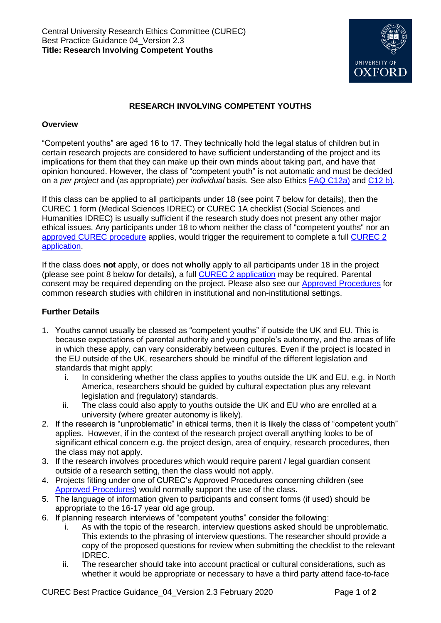

## **RESEARCH INVOLVING COMPETENT YOUTHS**

## **Overview**

"Competent youths" are aged 16 to 17. They technically hold the legal status of children but in certain research projects are considered to have sufficient understanding of the project and its implications for them that they can make up their own minds about taking part, and have that opinion honoured. However, the class of "competent youth" is not automatic and must be decided on a *per project* and (as appropriate) *per individual* basis. See also Ethics [FAQ C12a\)](http://researchsupport.admin.ox.ac.uk/governance/ethics/faqs-glossary/faqs#collapse3-11) and [C12](http://researchsupport.admin.ox.ac.uk/governance/ethics/faqs-glossary/faqs#collapse3-12) b).

If this class can be applied to all participants under 18 (see point 7 below for details), then the CUREC 1 form (Medical Sciences IDREC) or CUREC 1A checklist (Social Sciences and Humanities IDREC) is usually sufficient if the research study does not present any other major ethical issues. Any participants under 18 to whom neither the class of "competent youths" nor an [approved CUREC procedure](http://researchsupport.admin.ox.ac.uk/governance/ethics/resources/ap) applies, would trigger the requirement to complete a full [CUREC 2](http://researchsupport.admin.ox.ac.uk/governance/ethics/apply/sshidrec#collapse1-2)  [application.](http://researchsupport.admin.ox.ac.uk/governance/ethics/apply/sshidrec#collapse1-2)

If the class does **not** apply, or does not **wholly** apply to all participants under 18 in the project (please see point 8 below for details), a full CUREC 2 [application](http://researchsupport.admin.ox.ac.uk/governance/ethics/apply/sshidrec#collapse1-2) may be required. Parental consent may be required depending on the project. Please also see our [Approved Procedures](http://researchsupport.admin.ox.ac.uk/governance/ethics/resources/ap) for common research studies with children in institutional and non-institutional settings.

## **Further Details**

- 1. Youths cannot usually be classed as "competent youths" if outside the UK and EU. This is because expectations of parental authority and young people's autonomy, and the areas of life in which these apply, can vary considerably between cultures. Even if the project is located in the EU outside of the UK, researchers should be mindful of the different legislation and standards that might apply:
	- i. In considering whether the class applies to youths outside the UK and EU, e.g. in North America, researchers should be guided by cultural expectation plus any relevant legislation and (regulatory) standards.
	- ii. The class could also apply to youths outside the UK and EU who are enrolled at a university (where greater autonomy is likely).
- 2. If the research is "unproblematic" in ethical terms, then it is likely the class of "competent youth" applies. However, if in the context of the research project overall anything looks to be of significant ethical concern e.g. the project design, area of enquiry, research procedures, then the class may not apply.
- 3. If the research involves procedures which would require parent / legal guardian consent outside of a research setting, then the class would not apply.
- 4. Projects fitting under one of CUREC's Approved Procedures concerning children (see [Approved Procedures\)](http://researchsupport.admin.ox.ac.uk/governance/ethics/resources/ap) would normally support the use of the class.
- 5. The language of information given to participants and consent forms (if used) should be appropriate to the 16-17 year old age group.
- 6. If planning research interviews of "competent youths" consider the following:
	- i. As with the topic of the research, interview questions asked should be unproblematic. This extends to the phrasing of interview questions. The researcher should provide a copy of the proposed questions for review when submitting the checklist to the relevant IDREC.
	- ii. The researcher should take into account practical or cultural considerations, such as whether it would be appropriate or necessary to have a third party attend face-to-face